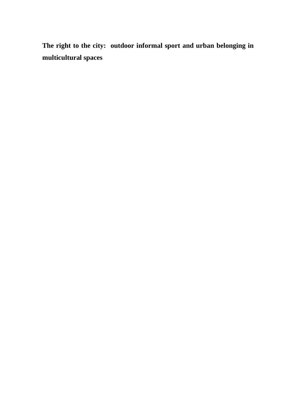**The right to the city: outdoor informal sport and urban belonging in multicultural spaces**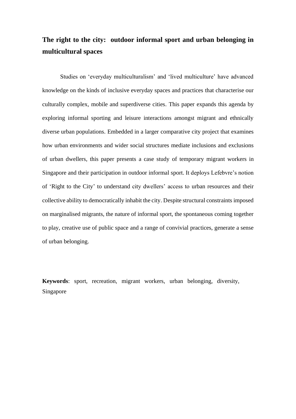# **The right to the city: outdoor informal sport and urban belonging in multicultural spaces**

Studies on 'everyday multiculturalism' and 'lived multiculture' have advanced knowledge on the kinds of inclusive everyday spaces and practices that characterise our culturally complex, mobile and superdiverse cities. This paper expands this agenda by exploring informal sporting and leisure interactions amongst migrant and ethnically diverse urban populations. Embedded in a larger comparative city project that examines how urban environments and wider social structures mediate inclusions and exclusions of urban dwellers, this paper presents a case study of temporary migrant workers in Singapore and their participation in outdoor informal sport. It deploys Lefebvre's notion of 'Right to the City' to understand city dwellers' access to urban resources and their collective ability to democratically inhabit the city. Despite structural constraints imposed on marginalised migrants, the nature of informal sport, the spontaneous coming together to play, creative use of public space and a range of convivial practices, generate a sense of urban belonging.

**Keywords**: sport, recreation, migrant workers, urban belonging, diversity, Singapore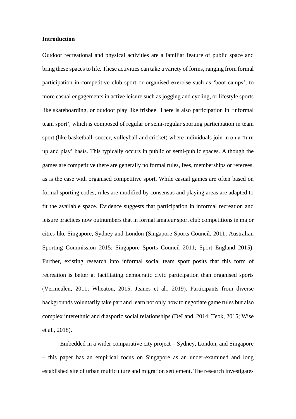## **Introduction**

Outdoor recreational and physical activities are a familiar feature of public space and bring these spaces to life. These activities can take a variety of forms, ranging from formal participation in competitive club sport or organised exercise such as 'boot camps', to more casual engagements in active leisure such as jogging and cycling, or lifestyle sports like skateboarding, or outdoor play like frisbee. There is also participation in 'informal team sport', which is composed of regular or semi-regular sporting participation in team sport (like basketball, soccer, volleyball and cricket) where individuals join in on a 'turn up and play' basis. This typically occurs in public or semi-public spaces. Although the games are competitive there are generally no formal rules, fees, memberships or referees, as is the case with organised competitive sport. While casual games are often based on formal sporting codes, rules are modified by consensus and playing areas are adapted to fit the available space. Evidence suggests that participation in informal recreation and leisure practices now outnumbers that in formal amateur sport club competitions in major cities like Singapore, Sydney and London (Singapore Sports Council, 2011; Australian Sporting Commission 2015; Singapore Sports Council 2011; Sport England 2015). Further, existing research into informal social team sport posits that this form of recreation is better at facilitating democratic civic participation than organised sports (Vermeulen, 2011; Wheaton, 2015; Jeanes et al., 2019). Participants from diverse backgrounds voluntarily take part and learn not only how to negotiate game rules but also complex interethnic and diasporic social relationships (DeLand, 2014; Teok, 2015; Wise et al., 2018).

Embedded in a wider comparative city project – Sydney, London, and Singapore – this paper has an empirical focus on Singapore as an under-examined and long established site of urban multiculture and migration settlement. The research investigates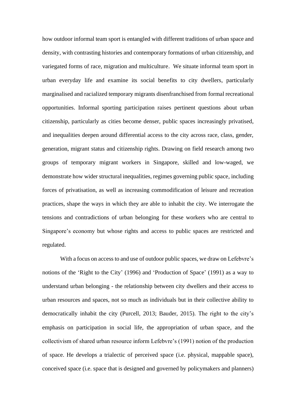how outdoor informal team sport is entangled with different traditions of urban space and density, with contrasting histories and contemporary formations of urban citizenship, and variegated forms of race, migration and multiculture. We situate informal team sport in urban everyday life and examine its social benefits to city dwellers, particularly marginalised and racialized temporary migrants disenfranchised from formal recreational opportunities. Informal sporting participation raises pertinent questions about urban citizenship, particularly as cities become denser, public spaces increasingly privatised, and inequalities deepen around differential access to the city across race, class, gender, generation, migrant status and citizenship rights. Drawing on field research among two groups of temporary migrant workers in Singapore, skilled and low-waged, we demonstrate how wider structural inequalities, regimes governing public space, including forces of privatisation, as well as increasing commodification of leisure and recreation practices, shape the ways in which they are able to inhabit the city. We interrogate the tensions and contradictions of urban belonging for these workers who are central to Singapore's economy but whose rights and access to public spaces are restricted and regulated.

With a focus on access to and use of outdoor public spaces, we draw on Lefebvre's notions of the 'Right to the City' (1996) and 'Production of Space' (1991) as a way to understand urban belonging - the relationship between city dwellers and their access to urban resources and spaces, not so much as individuals but in their collective ability to democratically inhabit the city (Purcell, 2013; Bauder, 2015). The right to the city's emphasis on participation in social life, the appropriation of urban space, and the collectivism of shared urban resource inform Lefebvre's (1991) notion of the production of space. He develops a trialectic of perceived space (i.e. physical, mappable space), conceived space (i.e. space that is designed and governed by policymakers and planners)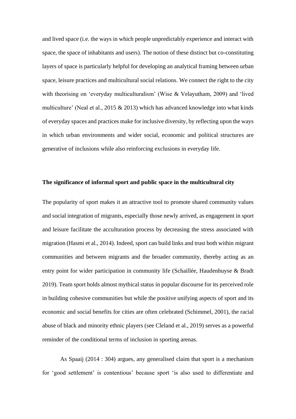and lived space (i.e. the ways in which people unpredictably experience and interact with space, the space of inhabitants and users). The notion of these distinct but co-constituting layers of space is particularly helpful for developing an analytical framing between urban space, leisure practices and multicultural social relations. We connect the right to the city with theorising on 'everyday multiculturalism' (Wise & Velayutham, 2009) and 'lived multiculture' (Neal et al.,  $2015 \& 2013$ ) which has advanced knowledge into what kinds of everyday spaces and practices make for inclusive diversity, by reflecting upon the ways in which urban environments and wider social, economic and political structures are generative of inclusions while also reinforcing exclusions in everyday life.

## **The significance of informal sport and public space in the multicultural city**

The popularity of sport makes it an attractive tool to promote shared community values and social integration of migrants, especially those newly arrived, as engagement in sport and leisure facilitate the acculturation process by decreasing the stress associated with migration (Hasmi et al., 2014). Indeed, sport can build links and trust both within migrant communities and between migrants and the broader community, thereby acting as an entry point for wider participation in community life (Schaillée, Haudenhuyse & Bradt 2019). Team sport holds almost mythical status in popular discourse for its perceived role in building cohesive communities but while the positive unifying aspects of sport and its economic and social benefits for cities are often celebrated (Schimmel, 2001), the racial abuse of black and minority ethnic players (see Cleland et al., 2019) serves as a powerful reminder of the conditional terms of inclusion in sporting arenas.

As Spaaij (2014 : 304) argues, any generalised claim that sport is a mechanism for 'good settlement' is contentious' because sport 'is also used to differentiate and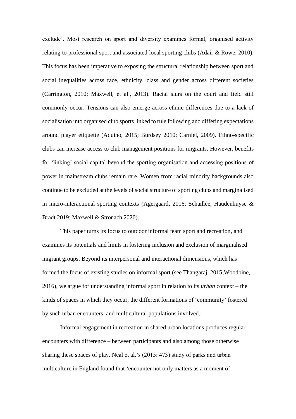exclude'. Most research on sport and diversity examines formal, organised activity relating to professional sport and associated local sporting clubs (Adair & Rowe, 2010). This focus has been imperative to exposing the structural relationship between sport and social inequalities across race, ethnicity, class and gender across different societies (Carrington, 2010; Maxwell, et al., 2013). Racial slurs on the court and field still commonly occur. Tensions can also emerge across ethnic differences due to a lack of socialisation into organised club sports linked to rule following and differing expectations around player etiquette (Aquino, 2015; Burdsey 2010; Carniel, 2009). Ethno-specific clubs can increase access to club management positions for migrants. However, benefits for 'linking' social capital beyond the sporting organisation and accessing positions of power in mainstream clubs remain rare. Women from racial minority backgrounds also continue to be excluded at the levels of social structure of sporting clubs and marginalised in micro-interactional sporting contexts (Agergaard, 2016; Schaillée, Haudenhuyse & Bradt 2019; Maxwell & Stronach 2020).

This paper turns its focus to outdoor informal team sport and recreation, and examines its potentials and limits in fostering inclusion and exclusion of marginalised migrant groups. Beyond its interpersonal and interactional dimensions, which has formed the focus of existing studies on informal sport (see Thangaraj, 2015;Woodbine, 2016), we argue for understanding informal sport in relation to its *urban* context – the kinds of spaces in which they occur, the different formations of 'community' fostered by such urban encounters, and multicultural populations involved.

Informal engagement in recreation in shared urban locations produces regular encounters with difference – between participants and also among those otherwise sharing these spaces of play. Neal et al.'s (2015: 473) study of parks and urban multiculture in England found that 'encounter not only matters as a moment of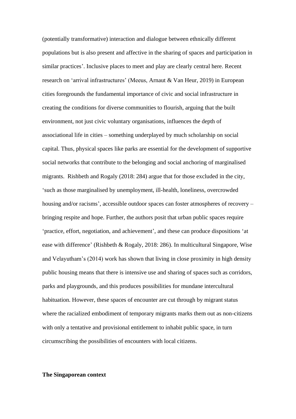(potentially transformative) interaction and dialogue between ethnically different populations but is also present and affective in the sharing of spaces and participation in similar practices'. Inclusive places to meet and play are clearly central here. Recent research on 'arrival infrastructures' (Meeus, Arnaut & Van Heur, 2019) in European cities foregrounds the fundamental importance of civic and social infrastructure in creating the conditions for diverse communities to flourish, arguing that the built environment, not just civic voluntary organisations, influences the depth of associational life in cities – something underplayed by much scholarship on social capital. Thus, physical spaces like parks are essential for the development of supportive social networks that contribute to the belonging and social anchoring of marginalised migrants. Rishbeth and Rogaly (2018: 284) argue that for those excluded in the city, 'such as those marginalised by unemployment, ill-health, loneliness, overcrowded housing and/or racisms', accessible outdoor spaces can foster atmospheres of recovery – bringing respite and hope. Further, the authors posit that urban public spaces require 'practice, effort, negotiation, and achievement', and these can produce dispositions 'at ease with difference' (Rishbeth & Rogaly, 2018: 286). In multicultural Singapore, Wise and Velayutham's (2014) work has shown that living in close proximity in high density public housing means that there is intensive use and sharing of spaces such as corridors, parks and playgrounds, and this produces possibilities for mundane intercultural habituation. However, these spaces of encounter are cut through by migrant status where the racialized embodiment of temporary migrants marks them out as non-citizens with only a tentative and provisional entitlement to inhabit public space, in turn circumscribing the possibilities of encounters with local citizens.

## **The Singaporean context**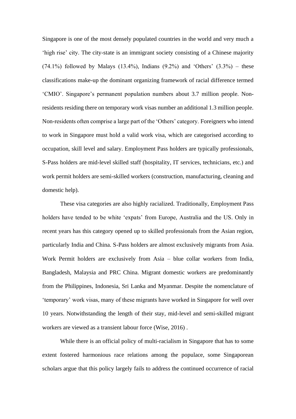Singapore is one of the most densely populated countries in the world and very much a 'high rise' city. The city-state is an immigrant society consisting of a Chinese majority  $(74.1\%)$  followed by Malays  $(13.4\%)$ , Indians  $(9.2\%)$  and 'Others'  $(3.3\%)$  – these classifications make-up the dominant organizing framework of racial difference termed 'CMIO'. Singapore's permanent population numbers about 3.7 million people. Nonresidents residing there on temporary work visas number an additional 1.3 million people. Non-residents often comprise a large part of the 'Others' category. Foreigners who intend to work in Singapore must hold a valid work visa, which are categorised according to occupation, skill level and salary. Employment Pass holders are typically professionals, S-Pass holders are mid-level skilled staff (hospitality, IT services, technicians, etc.) and work permit holders are semi-skilled workers (construction, manufacturing, cleaning and domestic help).

These visa categories are also highly racialized. Traditionally, Employment Pass holders have tended to be white 'expats' from Europe, Australia and the US. Only in recent years has this category opened up to skilled professionals from the Asian region, particularly India and China. S-Pass holders are almost exclusively migrants from Asia. Work Permit holders are exclusively from Asia – blue collar workers from India, Bangladesh, Malaysia and PRC China. Migrant domestic workers are predominantly from the Philippines, Indonesia, Sri Lanka and Myanmar. Despite the nomenclature of 'temporary' work visas, many of these migrants have worked in Singapore for well over 10 years. Notwithstanding the length of their stay, mid-level and semi-skilled migrant workers are viewed as a transient labour force (Wise, 2016) .

While there is an official policy of multi-racialism in Singapore that has to some extent fostered harmonious race relations among the populace, some Singaporean scholars argue that this policy largely fails to address the continued occurrence of racial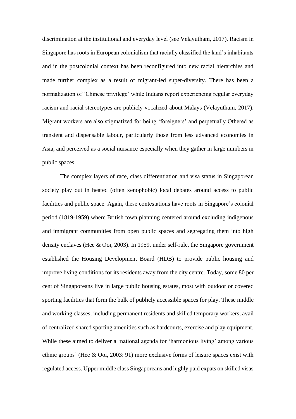discrimination at the institutional and everyday level (see Velayutham, 2017). Racism in Singapore has roots in European colonialism that racially classified the land's inhabitants and in the postcolonial context has been reconfigured into new racial hierarchies and made further complex as a result of migrant-led super-diversity. There has been a normalization of 'Chinese privilege' while Indians report experiencing regular everyday racism and racial stereotypes are publicly vocalized about Malays (Velayutham, 2017). Migrant workers are also stigmatized for being 'foreigners' and perpetually Othered as transient and dispensable labour, particularly those from less advanced economies in Asia, and perceived as a social nuisance especially when they gather in large numbers in public spaces.

The complex layers of race, class differentiation and visa status in Singaporean society play out in heated (often xenophobic) local debates around access to public facilities and public space. Again, these contestations have roots in Singapore's colonial period (1819-1959) where British town planning centered around excluding indigenous and immigrant communities from open public spaces and segregating them into high density enclaves (Hee & Ooi, 2003). In 1959, under self-rule, the Singapore government established the Housing Development Board (HDB) to provide public housing and improve living conditions for its residents away from the city centre. Today, some 80 per cent of Singaporeans live in large public housing estates, most with outdoor or covered sporting facilities that form the bulk of publicly accessible spaces for play. These middle and working classes, including permanent residents and skilled temporary workers, avail of centralized shared sporting amenities such as hardcourts, exercise and play equipment. While these aimed to deliver a 'national agenda for 'harmonious living' among various ethnic groups' (Hee & Ooi, 2003: 91) more exclusive forms of leisure spaces exist with regulated access. Upper middle class Singaporeans and highly paid expats on skilled visas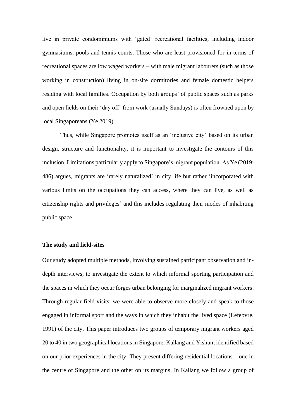live in private condominiums with 'gated' recreational facilities, including indoor gymnasiums, pools and tennis courts. Those who are least provisioned for in terms of recreational spaces are low waged workers – with male migrant labourers (such as those working in construction) living in on-site dormitories and female domestic helpers residing with local families. Occupation by both groups' of public spaces such as parks and open fields on their 'day off' from work (usually Sundays) is often frowned upon by local Singaporeans (Ye 2019).

Thus, while Singapore promotes itself as an 'inclusive city' based on its urban design, structure and functionality, it is important to investigate the contours of this inclusion. Limitations particularly apply to Singapore's migrant population. As Ye (2019: 486) argues, migrants are 'rarely naturalized' in city life but rather 'incorporated with various limits on the occupations they can access, where they can live, as well as citizenship rights and privileges' and this includes regulating their modes of inhabiting public space.

### **The study and field-sites**

Our study adopted multiple methods, involving sustained participant observation and indepth interviews, to investigate the extent to which informal sporting participation and the spaces in which they occur forges urban belonging for marginalized migrant workers. Through regular field visits, we were able to observe more closely and speak to those engaged in informal sport and the ways in which they inhabit the lived space (Lefebvre, 1991) of the city. This paper introduces two groups of temporary migrant workers aged 20 to 40 in two geographical locations in Singapore, Kallang and Yishun, identified based on our prior experiences in the city. They present differing residential locations – one in the centre of Singapore and the other on its margins. In Kallang we follow a group of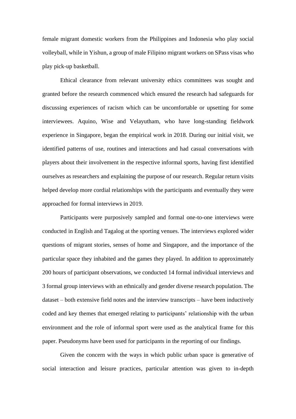female migrant domestic workers from the Philippines and Indonesia who play social volleyball, while in Yishun, a group of male Filipino migrant workers on SPass visas who play pick-up basketball.

Ethical clearance from relevant university ethics committees was sought and granted before the research commenced which ensured the research had safeguards for discussing experiences of racism which can be uncomfortable or upsetting for some interviewees. Aquino, Wise and Velayutham, who have long-standing fieldwork experience in Singapore, began the empirical work in 2018. During our initial visit, we identified patterns of use, routines and interactions and had casual conversations with players about their involvement in the respective informal sports, having first identified ourselves as researchers and explaining the purpose of our research. Regular return visits helped develop more cordial relationships with the participants and eventually they were approached for formal interviews in 2019.

Participants were purposively sampled and formal one-to-one interviews were conducted in English and Tagalog at the sporting venues. The interviews explored wider questions of migrant stories, senses of home and Singapore, and the importance of the particular space they inhabited and the games they played. In addition to approximately 200 hours of participant observations, we conducted 14 formal individual interviews and 3 formal group interviews with an ethnically and gender diverse research population. The dataset – both extensive field notes and the interview transcripts – have been inductively coded and key themes that emerged relating to participants' relationship with the urban environment and the role of informal sport were used as the analytical frame for this paper. Pseudonyms have been used for participants in the reporting of our findings.

Given the concern with the ways in which public urban space is generative of social interaction and leisure practices, particular attention was given to in-depth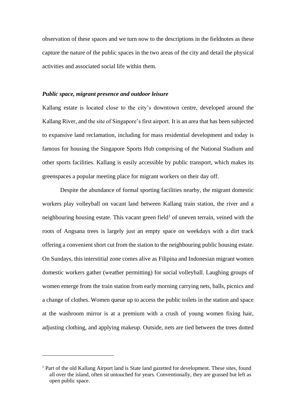observation of these spaces and we turn now to the descriptions in the fieldnotes as these capture the nature of the public spaces in the two areas of the city and detail the physical activities and associated social life within them.

## *Public space, migrant presence and outdoor leisure*

Kallang estate is located close to the city's downtown centre, developed around the Kallang River, and the site of Singapore's first airport. It is an area that has been subjected to expansive land reclamation, including for mass residential development and today is famous for housing the Singapore Sports Hub comprising of the National Stadium and other sports facilities. Kallang is easily accessible by public transport, which makes its greenspaces a popular meeting place for migrant workers on their day off.

Despite the abundance of formal sporting facilities nearby, the migrant domestic workers play volleyball on vacant land between Kallang train station, the river and a neighbouring housing estate. This vacant green field<sup>1</sup> of uneven terrain, veined with the roots of Angsana trees is largely just an empty space on weekdays with a dirt track offering a convenient short cut from the station to the neighbouring public housing estate. On Sundays, this interstitial zone comes alive as Filipina and Indonesian migrant women domestic workers gather (weather permitting) for social volleyball. Laughing groups of women emerge from the train station from early morning carrying nets, balls, picnics and a change of clothes. Women queue up to access the public toilets in the station and space at the washroom mirror is at a premium with a crush of young women fixing hair, adjusting clothing, and applying makeup. Outside, nets are tied between the trees dotted

<sup>&</sup>lt;sup>1</sup> Part of the old Kallang Airport land is State land gazetted for development. These sites, found all over the island, often sit untouched for years. Conventionally, they are grassed but left as open public space.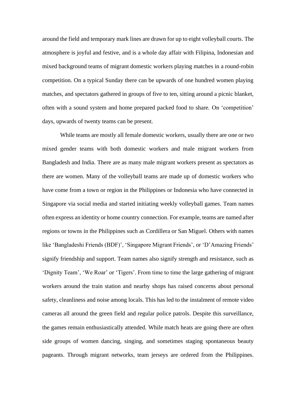around the field and temporary mark lines are drawn for up to eight volleyball courts. The atmosphere is joyful and festive, and is a whole day affair with Filipina, Indonesian and mixed background teams of migrant domestic workers playing matches in a round-robin competition. On a typical Sunday there can be upwards of one hundred women playing matches, and spectators gathered in groups of five to ten, sitting around a picnic blanket, often with a sound system and home prepared packed food to share. On 'competition' days, upwards of twenty teams can be present.

While teams are mostly all female domestic workers, usually there are one or two mixed gender teams with both domestic workers and male migrant workers from Bangladesh and India. There are as many male migrant workers present as spectators as there are women. Many of the volleyball teams are made up of domestic workers who have come from a town or region in the Philippines or Indonesia who have connected in Singapore via social media and started initiating weekly volleyball games. Team names often express an identity or home country connection. For example, teams are named after regions or towns in the Philippines such as Cordillera or San Miguel. Others with names like 'Bangladeshi Friends (BDF)', 'Singapore Migrant Friends', or 'D'Amazing Friends' signify friendship and support. Team names also signify strength and resistance, such as 'Dignity Team', 'We Roar' or 'Tigers'. From time to time the large gathering of migrant workers around the train station and nearby shops has raised concerns about personal safety, cleanliness and noise among locals. This has led to the instalment of remote video cameras all around the green field and regular police patrols. Despite this surveillance, the games remain enthusiastically attended. While match heats are going there are often side groups of women dancing, singing, and sometimes staging spontaneous beauty pageants. Through migrant networks, team jerseys are ordered from the Philippines.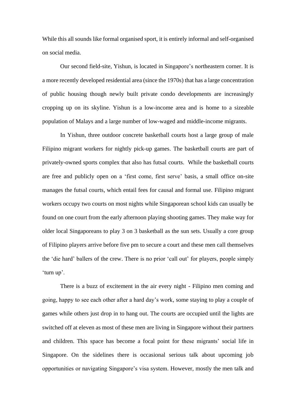While this all sounds like formal organised sport, it is entirely informal and self-organised on social media.

Our second field-site, Yishun, is located in Singapore's northeastern corner. It is a more recently developed residential area (since the 1970s) that has a large concentration of public housing though newly built private condo developments are increasingly cropping up on its skyline. Yishun is a low-income area and is home to a sizeable population of Malays and a large number of low-waged and middle-income migrants.

In Yishun, three outdoor concrete basketball courts host a large group of male Filipino migrant workers for nightly pick-up games. The basketball courts are part of privately-owned sports complex that also has futsal courts. While the basketball courts are free and publicly open on a 'first come, first serve' basis, a small office on-site manages the futsal courts, which entail fees for causal and formal use. Filipino migrant workers occupy two courts on most nights while Singaporean school kids can usually be found on one court from the early afternoon playing shooting games. They make way for older local Singaporeans to play 3 on 3 basketball as the sun sets. Usually a core group of Filipino players arrive before five pm to secure a court and these men call themselves the 'die hard' ballers of the crew. There is no prior 'call out' for players, people simply 'turn up'.

There is a buzz of excitement in the air every night - Filipino men coming and going, happy to see each other after a hard day's work, some staying to play a couple of games while others just drop in to hang out. The courts are occupied until the lights are switched off at eleven as most of these men are living in Singapore without their partners and children. This space has become a focal point for these migrants' social life in Singapore. On the sidelines there is occasional serious talk about upcoming job opportunities or navigating Singapore's visa system. However, mostly the men talk and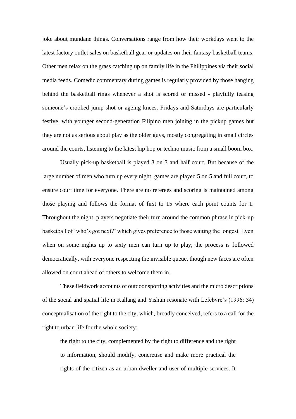joke about mundane things. Conversations range from how their workdays went to the latest factory outlet sales on basketball gear or updates on their fantasy basketball teams. Other men relax on the grass catching up on family life in the Philippines via their social media feeds. Comedic commentary during games is regularly provided by those hanging behind the basketball rings whenever a shot is scored or missed - playfully teasing someone's crooked jump shot or ageing knees. Fridays and Saturdays are particularly festive, with younger second-generation Filipino men joining in the pickup games but they are not as serious about play as the older guys, mostly congregating in small circles around the courts, listening to the latest hip hop or techno music from a small boom box.

Usually pick-up basketball is played 3 on 3 and half court. But because of the large number of men who turn up every night, games are played 5 on 5 and full court, to ensure court time for everyone. There are no referees and scoring is maintained among those playing and follows the format of first to 15 where each point counts for 1. Throughout the night, players negotiate their turn around the common phrase in pick-up basketball of 'who's got next?' which gives preference to those waiting the longest. Even when on some nights up to sixty men can turn up to play, the process is followed democratically, with everyone respecting the invisible queue, though new faces are often allowed on court ahead of others to welcome them in.

These fieldwork accounts of outdoor sporting activities and the micro descriptions of the social and spatial life in Kallang and Yishun resonate with Lefebvre's (1996: 34) conceptualisation of the right to the city, which, broadly conceived, refers to a call for the right to urban life for the whole society:

the right to the city, complemented by the right to difference and the right to information, should modify, concretise and make more practical the rights of the citizen as an urban dweller and user of multiple services. It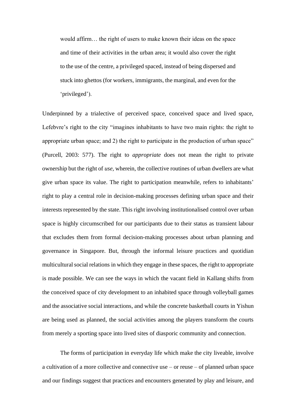would affirm… the right of users to make known their ideas on the space and time of their activities in the urban area; it would also cover the right to the use of the centre, a privileged spaced, instead of being dispersed and stuck into ghettos (for workers, immigrants, the marginal, and even for the 'privileged').

Underpinned by a trialective of perceived space, conceived space and lived space, Lefebvre's right to the city "imagines inhabitants to have two main rights: the right to appropriate urban space; and 2) the right to participate in the production of urban space" (Purcell, 2003: 577). The right to *appropriate* does not mean the right to private ownership but the right of *use,* wherein, the collective routines of urban dwellers are what give urban space its value. The right to participation meanwhile, refers to inhabitants' right to play a central role in decision-making processes defining urban space and their interests represented by the state. This right involving institutionalised control over urban space is highly circumscribed for our participants due to their status as transient labour that excludes them from formal decision-making processes about urban planning and governance in Singapore. But, through the informal leisure practices and quotidian multicultural social relations in which they engage in these spaces, the right to appropriate is made possible. We can see the ways in which the vacant field in Kallang shifts from the conceived space of city development to an inhabited space through volleyball games and the associative social interactions, and while the concrete basketball courts in Yishun are being used as planned, the social activities among the players transform the courts from merely a sporting space into lived sites of diasporic community and connection.

The forms of participation in everyday life which make the city liveable, involve a cultivation of a more collective and connective use – or reuse – of planned urban space and our findings suggest that practices and encounters generated by play and leisure, and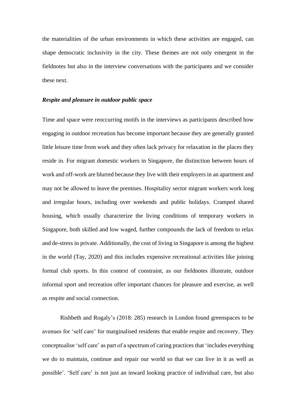the materialities of the urban environments in which these activities are engaged, can shape democratic inclusivity in the city. These themes are not only emergent in the fieldnotes but also in the interview conversations with the participants and we consider these next.

## *Respite and pleasure in outdoor public space*

Time and space were reoccurring motifs in the interviews as participants described how engaging in outdoor recreation has become important because they are generally granted little leisure time from work and they often lack privacy for relaxation in the places they reside in. For migrant domestic workers in Singapore, the distinction between hours of work and off-work are blurred because they live with their employers in an apartment and may not be allowed to leave the premises. Hospitality sector migrant workers work long and irregular hours, including over weekends and public holidays. Cramped shared housing, which usually characterize the living conditions of temporary workers in Singapore, both skilled and low waged, further compounds the lack of freedom to relax and de-stress in private. Additionally, the cost of living in Singapore is among the highest in the world (Tay, 2020) and this includes expensive recreational activities like joining formal club sports. In this context of constraint, as our fieldnotes illustrate, outdoor informal sport and recreation offer important chances for pleasure and exercise, as well as respite and social connection.

Rishbeth and Rogaly's (2018: 285) research in London found greenspaces to be avenues for 'self care' for marginalised residents that enable respite and recovery. They conceptualise 'self care' as part of a spectrum of caring practices that 'includes everything we do to maintain, continue and repair our world so that we can live in it as well as possible'. 'Self care' is not just an inward looking practice of individual care, but also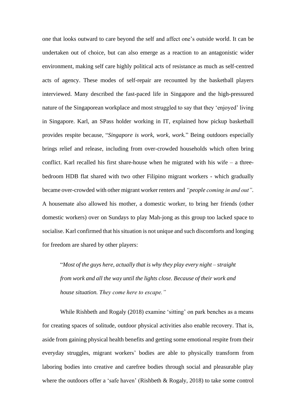one that looks outward to care beyond the self and affect one's outside world. It can be undertaken out of choice, but can also emerge as a reaction to an antagonistic wider environment, making self care highly political acts of resistance as much as self-centred acts of agency. These modes of self-repair are recounted by the basketball players interviewed. Many described the fast-paced life in Singapore and the high-pressured nature of the Singaporean workplace and most struggled to say that they 'enjoyed' living in Singapore. Karl, an SPass holder working in IT, explained how pickup basketball provides respite because, "*Singapore is work, work, work.*" Being outdoors especially brings relief and release, including from over-crowded households which often bring conflict. Karl recalled his first share-house when he migrated with his wife  $-$  a threebedroom HDB flat shared with two other Filipino migrant workers - which gradually became over-crowded with other migrant worker renters and *"people coming in and out".* A housemate also allowed his mother, a domestic worker, to bring her friends (other domestic workers) over on Sundays to play Mah-jong as this group too lacked space to socialise. Karl confirmed that his situation is not unique and such discomforts and longing for freedom are shared by other players:

"*Most of the guys here, actually that is why they play every night – straight from work and all the way until the lights close. Because of their work and house situation. They come here to escape."*

While Rishbeth and Rogaly (2018) examine 'sitting' on park benches as a means for creating spaces of solitude, outdoor physical activities also enable recovery. That is, aside from gaining physical health benefits and getting some emotional respite from their everyday struggles, migrant workers' bodies are able to physically transform from laboring bodies into creative and carefree bodies through social and pleasurable play where the outdoors offer a 'safe haven' (Rishbeth  $\&$  Rogaly, 2018) to take some control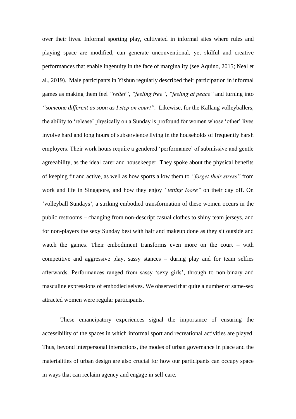over their lives. Informal sporting play, cultivated in informal sites where rules and playing space are modified, can generate unconventional, yet skilful and creative performances that enable ingenuity in the face of marginality (see Aquino, 2015; Neal et al., 2019). Male participants in Yishun regularly described their participation in informal games as making them feel *"relief"*, *"feeling free"*, *"feeling at peace"* and turning into *"someone different as soon as I step on court"*. Likewise, for the Kallang volleyballers, the ability to 'release' physically on a Sunday is profound for women whose 'other' lives involve hard and long hours of subservience living in the households of frequently harsh employers. Their work hours require a gendered 'performance' of submissive and gentle agreeability, as the ideal carer and housekeeper. They spoke about the physical benefits of keeping fit and active, as well as how sports allow them to *"forget their stress"* from work and life in Singapore, and how they enjoy *"letting loose"* on their day off. On 'volleyball Sundays', a striking embodied transformation of these women occurs in the public restrooms – changing from non-descript casual clothes to shiny team jerseys, and for non-players the sexy Sunday best with hair and makeup done as they sit outside and watch the games. Their embodiment transforms even more on the court – with competitive and aggressive play, sassy stances – during play and for team selfies afterwards. Performances ranged from sassy 'sexy girls', through to non-binary and masculine expressions of embodied selves. We observed that quite a number of same-sex attracted women were regular participants.

These emancipatory experiences signal the importance of ensuring the accessibility of the spaces in which informal sport and recreational activities are played. Thus, beyond interpersonal interactions, the modes of urban governance in place and the materialities of urban design are also crucial for how our participants can occupy space in ways that can reclaim agency and engage in self care.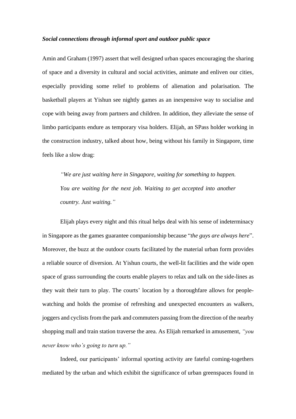## *Social connections through informal sport and outdoor public space*

Amin and Graham (1997) assert that well designed urban spaces encouraging the sharing of space and a diversity in cultural and social activities, animate and enliven our cities, especially providing some relief to problems of alienation and polarisation. The basketball players at Yishun see nightly games as an inexpensive way to socialise and cope with being away from partners and children. In addition, they alleviate the sense of limbo participants endure as temporary visa holders. Elijah, an SPass holder working in the construction industry, talked about how, being without his family in Singapore, time feels like a slow drag:

*"We are just waiting here in Singapore, waiting for something to happen. You are waiting for the next job. Waiting to get accepted into another country. Just waiting."* 

Elijah plays every night and this ritual helps deal with his sense of indeterminacy in Singapore as the games guarantee companionship because "*the guys are always here*". Moreover, the buzz at the outdoor courts facilitated by the material urban form provides a reliable source of diversion. At Yishun courts, the well-lit facilities and the wide open space of grass surrounding the courts enable players to relax and talk on the side-lines as they wait their turn to play. The courts' location by a thoroughfare allows for peoplewatching and holds the promise of refreshing and unexpected encounters as walkers, joggers and cyclists from the park and commuters passing from the direction of the nearby shopping mall and train station traverse the area. As Elijah remarked in amusement, *"you never know who's going to turn up."*

Indeed, our participants' informal sporting activity are fateful coming-togethers mediated by the urban and which exhibit the significance of urban greenspaces found in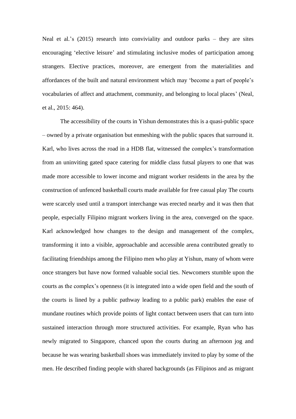Neal et al.'s  $(2015)$  research into conviviality and outdoor parks – they are sites encouraging 'elective leisure' and stimulating inclusive modes of participation among strangers. Elective practices, moreover, are emergent from the materialities and affordances of the built and natural environment which may 'become a part of people's vocabularies of affect and attachment, community, and belonging to local places' (Neal, et al., 2015: 464).

The accessibility of the courts in Yishun demonstrates this is a quasi-public space – owned by a private organisation but enmeshing with the public spaces that surround it. Karl, who lives across the road in a HDB flat, witnessed the complex's transformation from an uninviting gated space catering for middle class futsal players to one that was made more accessible to lower income and migrant worker residents in the area by the construction of unfenced basketball courts made available for free casual play The courts were scarcely used until a transport interchange was erected nearby and it was then that people, especially Filipino migrant workers living in the area, converged on the space. Karl acknowledged how changes to the design and management of the complex, transforming it into a visible, approachable and accessible arena contributed greatly to facilitating friendships among the Filipino men who play at Yishun, many of whom were once strangers but have now formed valuable social ties. Newcomers stumble upon the courts as the complex's openness (it is integrated into a wide open field and the south of the courts is lined by a public pathway leading to a public park) enables the ease of mundane routines which provide points of light contact between users that can turn into sustained interaction through more structured activities. For example, Ryan who has newly migrated to Singapore, chanced upon the courts during an afternoon jog and because he was wearing basketball shoes was immediately invited to play by some of the men. He described finding people with shared backgrounds (as Filipinos and as migrant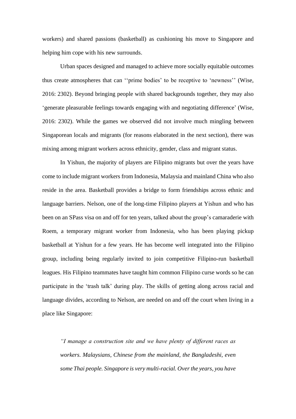workers) and shared passions (basketball) as cushioning his move to Singapore and helping him cope with his new surrounds.

Urban spaces designed and managed to achieve more socially equitable outcomes thus create atmospheres that can ''prime bodies' to be receptive to 'newness'' (Wise, 2016: 2302). Beyond bringing people with shared backgrounds together, they may also 'generate pleasurable feelings towards engaging with and negotiating difference' (Wise, 2016: 2302). While the games we observed did not involve much mingling between Singaporean locals and migrants (for reasons elaborated in the next section), there was mixing among migrant workers across ethnicity, gender, class and migrant status.

In Yishun, the majority of players are Filipino migrants but over the years have come to include migrant workers from Indonesia, Malaysia and mainland China who also reside in the area. Basketball provides a bridge to form friendships across ethnic and language barriers. Nelson, one of the long-time Filipino players at Yishun and who has been on an SPass visa on and off for ten years, talked about the group's camaraderie with Roem, a temporary migrant worker from Indonesia, who has been playing pickup basketball at Yishun for a few years. He has become well integrated into the Filipino group, including being regularly invited to join competitive Filipino-run basketball leagues. His Filipino teammates have taught him common Filipino curse words so he can participate in the 'trash talk' during play. The skills of getting along across racial and language divides, according to Nelson, are needed on and off the court when living in a place like Singapore:

*"I manage a construction site and we have plenty of different races as workers. Malaysians, Chinese from the mainland, the Bangladeshi, even some Thai people. Singapore is very multi-racial. Over the years, you have*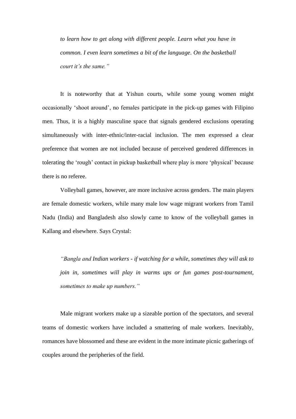*to learn how to get along with different people. Learn what you have in common. I even learn sometimes a bit of the language. On the basketball court it's the same."*

It is noteworthy that at Yishun courts, while some young women might occasionally 'shoot around', no females participate in the pick-up games with Filipino men. Thus, it is a highly masculine space that signals gendered exclusions operating simultaneously with inter-ethnic/inter-racial inclusion. The men expressed a clear preference that women are not included because of perceived gendered differences in tolerating the 'rough' contact in pickup basketball where play is more 'physical' because there is no referee.

Volleyball games, however, are more inclusive across genders. The main players are female domestic workers, while many male low wage migrant workers from Tamil Nadu (India) and Bangladesh also slowly came to know of the volleyball games in Kallang and elsewhere. Says Crystal:

*"Bangla and Indian workers - if watching for a while, sometimes they will ask to join in, sometimes will play in warms ups or fun games post-tournament, sometimes to make up numbers."*

Male migrant workers make up a sizeable portion of the spectators, and several teams of domestic workers have included a smattering of male workers. Inevitably, romances have blossomed and these are evident in the more intimate picnic gatherings of couples around the peripheries of the field.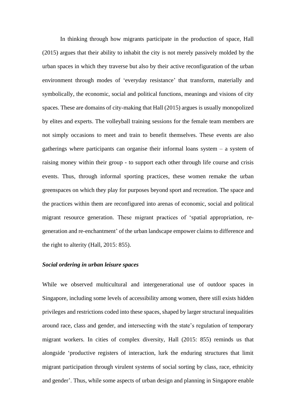In thinking through how migrants participate in the production of space, Hall (2015) argues that their ability to inhabit the city is not merely passively molded by the urban spaces in which they traverse but also by their active reconfiguration of the urban environment through modes of 'everyday resistance' that transform, materially and symbolically, the economic, social and political functions, meanings and visions of city spaces. These are domains of city-making that Hall (2015) argues is usually monopolized by elites and experts. The volleyball training sessions for the female team members are not simply occasions to meet and train to benefit themselves. These events are also gatherings where participants can organise their informal loans system – a system of raising money within their group - to support each other through life course and crisis events. Thus, through informal sporting practices, these women remake the urban greenspaces on which they play for purposes beyond sport and recreation. The space and the practices within them are reconfigured into arenas of economic, social and political migrant resource generation. These migrant practices of 'spatial appropriation, regeneration and re-enchantment' of the urban landscape empower claims to difference and the right to alterity (Hall, 2015: 855).

## *Social ordering in urban leisure spaces*

While we observed multicultural and intergenerational use of outdoor spaces in Singapore, including some levels of accessibility among women, there still exists hidden privileges and restrictions coded into these spaces, shaped by larger structural inequalities around race, class and gender, and intersecting with the state's regulation of temporary migrant workers. In cities of complex diversity, Hall (2015: 855) reminds us that alongside 'productive registers of interaction, lurk the enduring structures that limit migrant participation through virulent systems of social sorting by class, race, ethnicity and gender'. Thus, while some aspects of urban design and planning in Singapore enable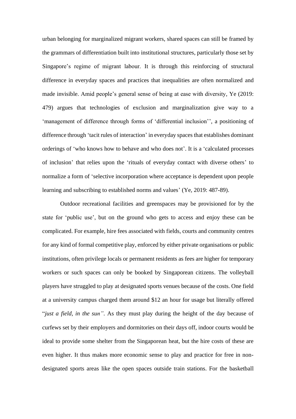urban belonging for marginalized migrant workers, shared spaces can still be framed by the grammars of differentiation built into institutional structures, particularly those set by Singapore's regime of migrant labour. It is through this reinforcing of structural difference in everyday spaces and practices that inequalities are often normalized and made invisible. Amid people's general sense of being at ease with diversity, Ye (2019: 479) argues that technologies of exclusion and marginalization give way to a 'management of difference through forms of 'differential inclusion'', a positioning of difference through 'tacit rules of interaction' in everyday spaces that establishes dominant orderings of 'who knows how to behave and who does not'. It is a 'calculated processes of inclusion' that relies upon the 'rituals of everyday contact with diverse others' to normalize a form of 'selective incorporation where acceptance is dependent upon people learning and subscribing to established norms and values' (Ye, 2019: 487-89).

Outdoor recreational facilities and greenspaces may be provisioned for by the state for 'public use', but on the ground who gets to access and enjoy these can be complicated. For example, hire fees associated with fields, courts and community centres for any kind of formal competitive play, enforced by either private organisations or public institutions, often privilege locals or permanent residents as fees are higher for temporary workers or such spaces can only be booked by Singaporean citizens. The volleyball players have struggled to play at designated sports venues because of the costs. One field at a university campus charged them around \$12 an hour for usage but literally offered "*just a field, in the sun"*. As they must play during the height of the day because of curfews set by their employers and dormitories on their days off, indoor courts would be ideal to provide some shelter from the Singaporean heat, but the hire costs of these are even higher. It thus makes more economic sense to play and practice for free in nondesignated sports areas like the open spaces outside train stations. For the basketball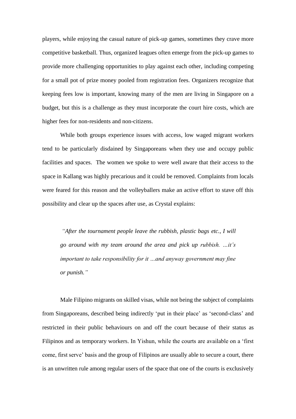players, while enjoying the casual nature of pick-up games, sometimes they crave more competitive basketball. Thus, organized leagues often emerge from the pick-up games to provide more challenging opportunities to play against each other, including competing for a small pot of prize money pooled from registration fees. Organizers recognize that keeping fees low is important, knowing many of the men are living in Singapore on a budget, but this is a challenge as they must incorporate the court hire costs, which are higher fees for non-residents and non-citizens.

While both groups experience issues with access, low waged migrant workers tend to be particularly disdained by Singaporeans when they use and occupy public facilities and spaces. The women we spoke to were well aware that their access to the space in Kallang was highly precarious and it could be removed. Complaints from locals were feared for this reason and the volleyballers make an active effort to stave off this possibility and clear up the spaces after use, as Crystal explains:

*"After the tournament people leave the rubbish, plastic bags etc., I will go around with my team around the area and pick up rubbish. …it's important to take responsibility for it …and anyway government may fine or punish."* 

Male Filipino migrants on skilled visas, while not being the subject of complaints from Singaporeans, described being indirectly 'put in their place' as 'second-class' and restricted in their public behaviours on and off the court because of their status as Filipinos and as temporary workers. In Yishun, while the courts are available on a 'first come, first serve' basis and the group of Filipinos are usually able to secure a court, there is an unwritten rule among regular users of the space that one of the courts is exclusively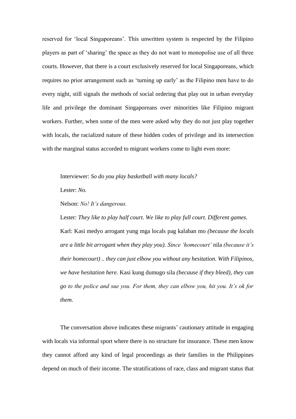reserved for 'local Singaporeans'. This unwritten system is respected by the Filipino players as part of 'sharing' the space as they do not want to monopolise use of all three courts. However, that there is a court exclusively reserved for local Singaporeans, which requires no prior arrangement such as 'turning up early' as the Filipino men have to do every night, still signals the methods of social ordering that play out in urban everyday life and privilege the dominant Singaporeans over minorities like Filipino migrant workers. Further, when some of the men were asked why they do not just play together with locals, the racialized nature of these hidden codes of privilege and its intersection with the marginal status accorded to migrant workers come to light even more:

Interviewer: *So do you play basketball with many locals?*

Lester: *No.* 

Nelson: *No! It's dangerous.*

Lester: *They like to play half court. We like to play full court. Different games.* Karl: Kasi medyo arrogant yung mga locals pag kalaban mo *(because the locals are a little bit arrogant when they play you). Since 'homecourt'* nila *(because it's their homecourt) .. they can just elbow you without any hesitation. With Filipinos, we have hesitation here.* Kasi kung dumugo sila *(because if they bleed), they can go to the police and sue you. For them, they can elbow you, hit you. It's ok for them.* 

The conversation above indicates these migrants' cautionary attitude in engaging with locals via informal sport where there is no structure for insurance. These men know they cannot afford any kind of legal proceedings as their families in the Philippines depend on much of their income. The stratifications of race, class and migrant status that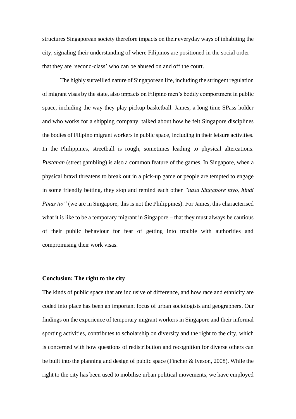structures Singaporean society therefore impacts on their everyday ways of inhabiting the city, signaling their understanding of where Filipinos are positioned in the social order – that they are 'second-class' who can be abused on and off the court.

The highly surveilled nature of Singaporean life, including the stringent regulation of migrant visas by the state, also impacts on Filipino men's bodily comportment in public space, including the way they play pickup basketball. James, a long time SPass holder and who works for a shipping company, talked about how he felt Singapore disciplines the bodies of Filipino migrant workers in public space, including in their leisure activities. In the Philippines, streetball is rough, sometimes leading to physical altercations. *Pustahan* (street gambling) is also a common feature of the games. In Singapore, when a physical brawl threatens to break out in a pick-up game or people are tempted to engage in some friendly betting, they stop and remind each other *"nasa Singapore tayo, hindi Pinas ito*" (we are in Singapore, this is not the Philippines). For James, this characterised what it is like to be a temporary migrant in Singapore – that they must always be cautious of their public behaviour for fear of getting into trouble with authorities and compromising their work visas.

## **Conclusion: The right to the city**

The kinds of public space that are inclusive of difference, and how race and ethnicity are coded into place has been an important focus of urban sociologists and geographers. Our findings on the experience of temporary migrant workers in Singapore and their informal sporting activities, contributes to scholarship on diversity and the right to the city, which is concerned with how questions of redistribution and recognition for diverse others can be built into the planning and design of public space (Fincher & Iveson, 2008). While the right to the city has been used to mobilise urban political movements, we have employed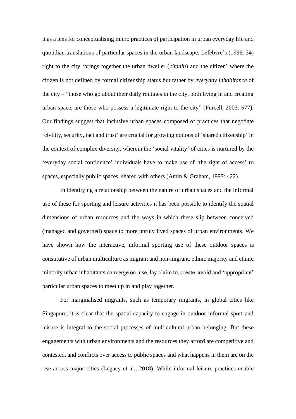it as a lens for conceptualising micro practices of participation in urban everyday life and quotidian translations of particular spaces in the urban landscape. Lefebvre's (1996: 34) right to the city 'brings together the urban dweller (*citadin*) and the citizen' where the citizen is not defined by formal citizenship status but rather by *everyday inhabitance* of the city – "those who go about their daily routines in the city, both living in and creating urban space, are those who possess a legitimate right to the city" (Purcell, 2003: 577). Our findings suggest that inclusive urban spaces composed of practices that negotiate 'civility, security, tact and trust' are crucial for growing notions of 'shared citizenship' in the context of complex diversity, wherein the 'social vitality' of cities is nurtured by the 'everyday social confidence' individuals have to make use of 'the right of access' to spaces, especially public spaces, shared with others (Amin & Graham, 1997: 422).

In identifying a relationship between the nature of urban spaces and the informal use of these for sporting and leisure activities it has been possible to identify the spatial dimensions of urban resources and the ways in which these slip between conceived (managed and governed) space to more unruly lived spaces of urban environments. We have shown how the interactive, informal sporting use of these outdoor spaces is constitutive of urban multiculture as migrant and non-migrant, ethnic majority and ethnic minority urban inhabitants converge on, use, lay claim to, create, avoid and 'appropriate' particular urban spaces to meet up in and play together.

For marginalised migrants, such as temporary migrants, in global cities like Singapore, it is clear that the spatial capacity to engage in outdoor informal sport and leisure is integral to the social processes of multicultural urban belonging. But these engagements with urban environments and the resources they afford are competitive and contested, and conflicts over access to public spaces and what happens in them are on the rise across major cities (Legacy et al., 2018). While informal leisure practices enable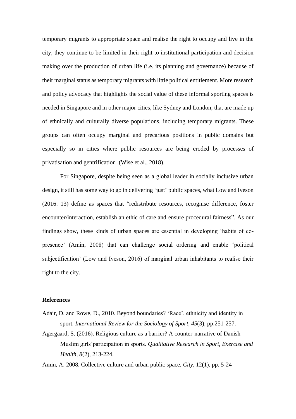temporary migrants to appropriate space and realise the right to occupy and live in the city, they continue to be limited in their right to institutional participation and decision making over the production of urban life (i.e. its planning and governance) because of their marginal status as temporary migrants with little political entitlement. More research and policy advocacy that highlights the social value of these informal sporting spaces is needed in Singapore and in other major cities, like Sydney and London, that are made up of ethnically and culturally diverse populations, including temporary migrants. These groups can often occupy marginal and precarious positions in public domains but especially so in cities where public resources are being eroded by processes of privatisation and gentrification (Wise et al., 2018).

For Singapore, despite being seen as a global leader in socially inclusive urban design, it still has some way to go in delivering 'just' public spaces, what Low and Iveson (2016: 13) define as spaces that "redistribute resources, recognise difference, foster encounter/interaction, establish an ethic of care and ensure procedural fairness". As our findings show, these kinds of urban spaces are essential in developing 'habits of copresence' (Amin, 2008) that can challenge social ordering and enable 'political subjectification' (Low and Iveson, 2016) of marginal urban inhabitants to realise their right to the city.

#### **References**

- Adair, D. and Rowe, D., 2010. Beyond boundaries? 'Race', ethnicity and identity in sport. *International Review for the Sociology of Sport*, *45*(3), pp.251-257.
- Agergaard, S. (2016). Religious culture as a barrier? A counter-narrative of Danish Muslim girls'participation in sports. *Qualitative Research in Sport, Exercise and Health, 8*(2), 213-224.

Amin, A. 2008. Collective culture and urban public space, *City*, 12(1), pp. 5-24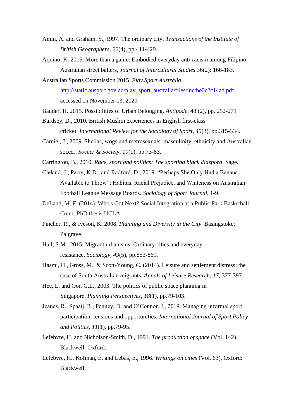- Amin, A. and Graham, S., 1997. The ordinary city. *Transactions of the Institute of British Geographers*, *22*(4), pp.411-429.
- Aquino, K. 2015. More than a game: Embodied everyday anti-racism among Filipino-Australian street ballers, *Journal of Intercultural Studies* 36(2): 166-183.
- Australian Sports Commission 2015. *Play.Sport.Australia*. [http://static.ausport.gov.au/play\\_sport\\_australia/files/inc/be0c2c14ad.pdf,](http://static.ausport.gov.au/play_sport_australia/files/inc/be0c2c14ad.pdf) accessed on November 13, 2020
- Bauder, H. 2015. Possibilities of Urban Belonging. *Antipode*, 48 (2), pp. 252-271
- Burdsey, D., 2010. British Muslim experiences in English first-class cricket. *International Review for the Sociology of Sport*, *45*(3), pp.315-334.
- Carniel, J., 2009. Sheilas, wogs and metrosexuals: masculinity, ethnicity and Australian soccer. *Soccer & Society*, *10*(1), pp.73-83.
- Carrington, B., 2010. *Race, sport and politics: The sporting black diaspora*. Sage.
- Cleland, J., Parry, K.D., and Radford, D., 2019. "Perhaps She Only Had a Banana Available to Throw": Habitus, Racial Prejudice, and Whiteness on Australian Football League Message Boards. *Sociology of Sport Journal*, 1-9.
- DeLand, M. F. (2014). Who's Got Next? Social Integration at a Public Park Basketball Court. PhD thesis UCLA.
- Fincher, R., & Iveson, K**.** 2008. *Planning and Diversity in the City*. Basingstoke: Palgrave
- Hall, S.M., 2015. Migrant urbanisms: Ordinary cities and everyday resistance. *Sociology*, *49*(5), pp.853-869.
- Hasmi, H., Gross, M., & Scott-Young, C. (2014). Leisure and settlement distress: the case of South Australian migrants. *Annals of Leisure Research, 17*, 377-397.
- Hee, L. and Ooi, G.L., 2003. The politics of public space planning in Singapore. *Planning Perspectives*, *18*(1), pp.79-103.
- Jeanes, R., Spaaij, R., Penney, D. and O'Connor, J., 2019. Managing informal sport participation: tensions and opportunities. *International Journal of Sport Policy and Politics*, *11*(1), pp.79-95.
- Lefebvre, H. and Nicholson-Smith, D., 1991. *The production of space* (Vol. 142). Blackwell: Oxford.
- Lefebvre, H., Kofman, E. and Lebas, E., 1996. *Writings on cities* (Vol. 63). Oxford: Blackwell.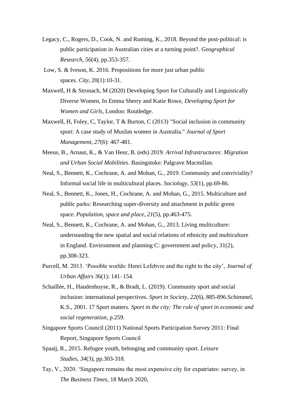- Legacy, C., Rogers, D., Cook, N. and Ruming, K., 2018. Beyond the post-political: is public participation in Australian cities at a turning point?. *Geographical Research*, *56*(4), pp.353-357.
- Low, S. & Iveson, K. 2016. Propositions for more just urban public spaces. *City*, 20(1):10-31.
- Maxwell, H & Stronach, M (2020) Developing Sport for Culturally and Linguistically Diverse Women, In Emma Sherry and Katie Rowe, *Developing Sport for Women and Girls*, London: Routledge.
- Maxwell, H, Foley, C, Taylor, T & Burton, C (2013) "Social inclusion in community sport: A case study of Muslim women in Australia." *Journal of Sport Management, 27*(6): 467-481.
- Meeus, B., Arnaut, K., & Van Heur, B. (eds) 2019. *Arrival Infrastructures: Migration and Urban Social Mobilities*. Basingstoke: Palgrave Macmillan.
- Neal, S., Bennett, K., Cochrane, A. and Mohan, G., 2019. Community and conviviality? Informal social life in multicultural places. *Sociology*, *53*(1), pp.69-86.
- Neal, S., Bennett, K., Jones, H., Cochrane, A. and Mohan, G., 2015. Multiculture and public parks: Researching super‐diversity and attachment in public green space. *Population, space and place*, *21*(5), pp.463-475.
- Neal, S., Bennett, K., Cochrane, A. and Mohan, G., 2013. Living multiculture: understanding the new spatial and social relations of ethnicity and multiculture in England. Environment and planning C: government and policy, 31(2), pp.308-323.
- Purcell, M. 2013. 'Possible worlds: Henri Lefebvre and the right to the city', *Journal of Urban Affairs* 36(1): 141–154.
- Schaillée, H., Haudenhuyse, R., & Bradt, L. (2019). Community sport and social inclusion: international perspectives. *Sport in Society, 22*(6), 885-896.Schimmel, K.S., 2001. 17 Sport matters. *Sport in the city: The role of sport in economic and social regeneration*, p.259.
- Singapore Sports Council (2011) National Sports Participation Survey 2011: Final Report, Singapore Sports Council
- Spaaij, R., 2015. Refugee youth, belonging and community sport. *Leisure Studies*, *34*(3), pp.303-318.
- Tay, V., 2020. 'Singapore remains the most expensive city for expatriates: survey, in *The Business Times*, 18 March 2020,